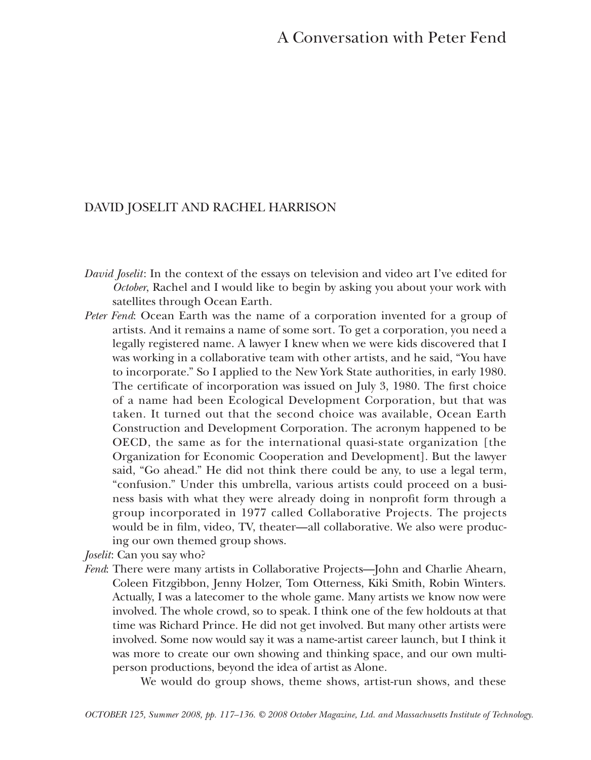## DAVID JOSELIT AND RACHEL HARRISON

- *David Joselit*: In the context of the essays on television and video art I've edited for *October*, Rachel and I would like to begin by asking you about your work with satellites through Ocean Earth.
- *Peter Fend*: Ocean Earth was the name of a corporation invented for a group of artists. And it remains a name of some sort. To get a corporation, you need a legally registered name. A lawyer I knew when we were kids discovered that I was working in a collaborative team with other artists, and he said, "You have to incorporate." So I applied to the New York State authorities, in early 1980. The certificate of incorporation was issued on July 3, 1980. The first choice of a name had been Ecological Development Corporation, but that was taken. It turned out that the second choice was available, Ocean Earth Construction and Development Corporation. The acronym happened to be OECD, the same as for the international quasi-state organization [the Organization for Economic Cooperation and Development]. But the lawyer said, "Go ahead." He did not think there could be any, to use a legal term, "confusion." Under this umbrella, various artists could proceed on a business basis with what they were already doing in nonprofit form through a group incorporated in 1977 called Collaborative Projects. The projects would be in film, video, TV, theater—all collaborative. We also were producing our own themed group shows.

*Joselit*: Can you say who?

*Fend*: There were many artists in Collaborative Projects—John and Charlie Ahearn, Coleen Fitzgibbon, Jenny Holzer, Tom Otterness, Kiki Smith, Robin Winters. Actually, I was a latecomer to the whole game. Many artists we know now were involved. The whole crowd, so to speak. I think one of the few holdouts at that time was Richard Prince. He did not get involved. But many other artists were involved. Some now would say it was a name-artist career launch, but I think it was more to create our own showing and thinking space, and our own multiperson productions, beyond the idea of artist as Alone.

We would do group shows, theme shows, artist-run shows, and these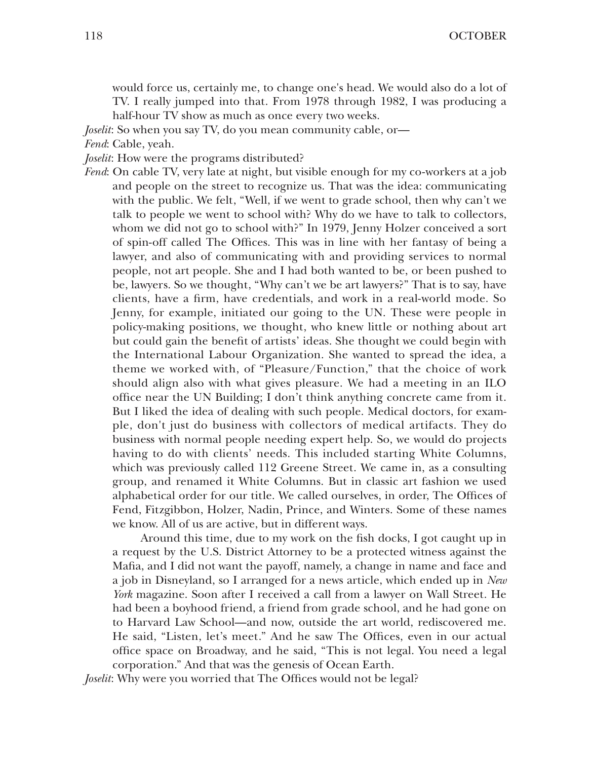would force us, certainly me, to change one's head. We would also do a lot of TV. I really jumped into that. From 1978 through 1982, I was producing a half-hour TV show as much as once every two weeks.

*Joselit*: So when you say TV, do you mean community cable, or—

*Fend*: Cable, yeah.

*Joselit*: How were the programs distributed?

*Fend*: On cable TV, very late at night, but visible enough for my co-workers at a job and people on the street to recognize us. That was the idea: communicating with the public. We felt, "Well, if we went to grade school, then why can't we talk to people we went to school with? Why do we have to talk to collectors, whom we did not go to school with?" In 1979, Jenny Holzer conceived a sort of spin-off called The Offices. This was in line with her fantasy of being a lawyer, and also of communicating with and providing services to normal people, not art people. She and I had both wanted to be, or been pushed to be, lawyers. So we thought, "Why can't we be art lawyers?" That is to say, have clients, have a firm, have credentials, and work in a real-world mode. So Jenny, for example, initiated our going to the UN. These were people in policy-making positions, we thought, who knew little or nothing about art but could gain the benefit of artists' ideas. She thought we could begin with the International Labour Organization. She wanted to spread the idea, a theme we worked with, of "Pleasure/Function," that the choice of work should align also with what gives pleasure. We had a meeting in an ILO office near the UN Building; I don't think anything concrete came from it. But I liked the idea of dealing with such people. Medical doctors, for example, don't just do business with collectors of medical artifacts. They do business with normal people needing expert help. So, we would do projects having to do with clients' needs. This included starting White Columns, which was previously called 112 Greene Street. We came in, as a consulting group, and renamed it White Columns. But in classic art fashion we used alphabetical order for our title. We called ourselves, in order, The Offices of Fend, Fitzgibbon, Holzer, Nadin, Prince, and Winters. Some of these names we know. All of us are active, but in different ways.

Around this time, due to my work on the fish docks, I got caught up in a request by the U.S. District Attorney to be a protected witness against the Mafia, and I did not want the payoff, namely, a change in name and face and a job in Disneyland, so I arranged for a news article, which ended up in *New York* magazine. Soon after I received a call from a lawyer on Wall Street. He had been a boyhood friend, a friend from grade school, and he had gone on to Harvard Law School—and now, outside the art world, rediscovered me. He said, "Listen, let's meet." And he saw The Offices, even in our actual office space on Broadway, and he said, "This is not legal. You need a legal corporation." And that was the genesis of Ocean Earth.

*Joselit*: Why were you worried that The Offices would not be legal?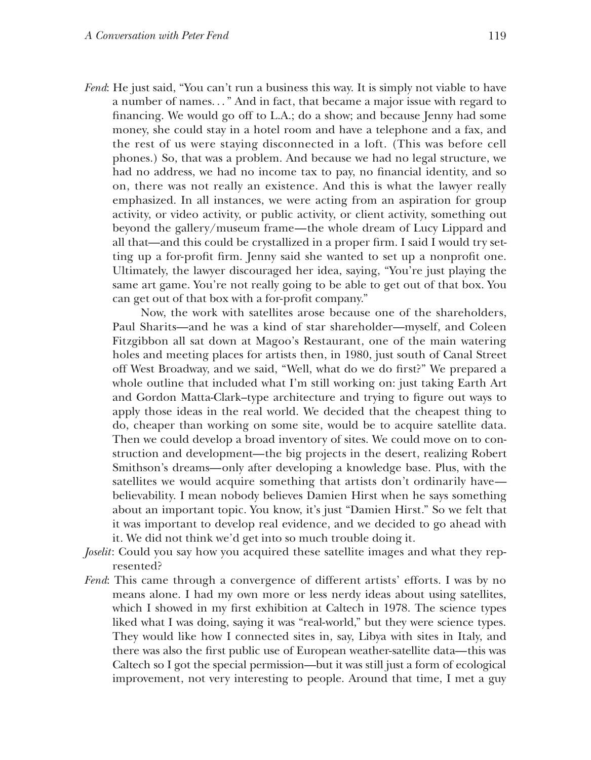*Fend*: He just said, "You can't run a business this way. It is simply not viable to have a number of names. . . " And in fact, that became a major issue with regard to financing. We would go off to L.A.; do a show; and because Jenny had some money, she could stay in a hotel room and have a telephone and a fax, and the rest of us were staying disconnected in a loft. (This was before cell phones.) So, that was a problem. And because we had no legal structure, we had no address, we had no income tax to pay, no financial identity, and so on, there was not really an existence. And this is what the lawyer really emphasized. In all instances, we were acting from an aspiration for group activity, or video activity, or public activity, or client activity, something out beyond the gallery/museum frame—the whole dream of Lucy Lippard and all that—and this could be crystallized in a proper firm. I said I would try setting up a for-profit firm. Jenny said she wanted to set up a nonprofit one. Ultimately, the lawyer discouraged her idea, saying, "You're just playing the same art game. You're not really going to be able to get out of that box. You can get out of that box with a for-profit company."

Now, the work with satellites arose because one of the shareholders, Paul Sharits—and he was a kind of star shareholder—myself, and Coleen Fitzgibbon all sat down at Magoo's Restaurant, one of the main watering holes and meeting places for artists then, in 1980, just south of Canal Street off West Broadway, and we said, "Well, what do we do first?" We prepared a whole outline that included what I'm still working on: just taking Earth Art and Gordon Matta-Clark–type architecture and trying to figure out ways to apply those ideas in the real world. We decided that the cheapest thing to do, cheaper than working on some site, would be to acquire satellite data. Then we could develop a broad inventory of sites. We could move on to construction and development—the big projects in the desert, realizing Robert Smithson's dreams—only after developing a knowledge base. Plus, with the satellites we would acquire something that artists don't ordinarily have believability. I mean nobody believes Damien Hirst when he says something about an important topic. You know, it's just "Damien Hirst." So we felt that it was important to develop real evidence, and we decided to go ahead with it. We did not think we'd get into so much trouble doing it.

- *Joselit*: Could you say how you acquired these satellite images and what they represented?
- *Fend*: This came through a convergence of different artists' efforts. I was by no means alone. I had my own more or less nerdy ideas about using satellites, which I showed in my first exhibition at Caltech in 1978. The science types liked what I was doing, saying it was "real-world," but they were science types. They would like how I connected sites in, say, Libya with sites in Italy, and there was also the first public use of European weather-satellite data—this was Caltech so I got the special permission—but it was still just a form of ecological improvement, not very interesting to people. Around that time, I met a guy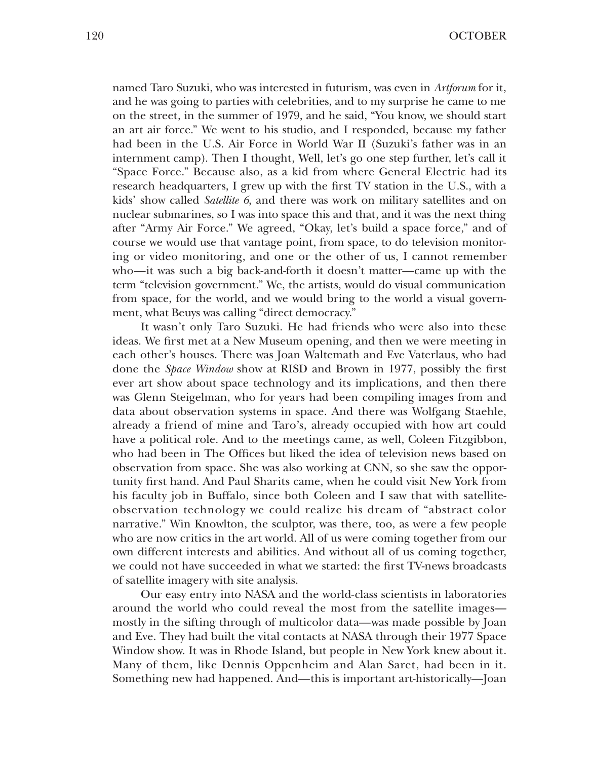named Taro Suzuki, who was interested in futurism, was even in *Artforum* for it, and he was going to parties with celebrities, and to my surprise he came to me on the street, in the summer of 1979, and he said, "You know, we should start an art air force." We went to his studio, and I responded, because my father had been in the U.S. Air Force in World War II (Suzuki's father was in an internment camp). Then I thought, Well, let's go one step further, let's call it "Space Force." Because also, as a kid from where General Electric had its research headquarters, I grew up with the first TV station in the U.S., with a kids' show called *Satellite 6*, and there was work on military satellites and on nuclear submarines, so I was into space this and that, and it was the next thing after "Army Air Force." We agreed, "Okay, let's build a space force," and of course we would use that vantage point, from space, to do television monitoring or video monitoring, and one or the other of us, I cannot remember who—it was such a big back-and-forth it doesn't matter—came up with the term "television government." We, the artists, would do visual communication from space, for the world, and we would bring to the world a visual government, what Beuys was calling "direct democracy."

It wasn't only Taro Suzuki. He had friends who were also into these ideas. We first met at a New Museum opening, and then we were meeting in each other's houses. There was Joan Waltemath and Eve Vaterlaus, who had done the *Space Window* show at RISD and Brown in 1977, possibly the first ever art show about space technology and its implications, and then there was Glenn Steigelman, who for years had been compiling images from and data about observation systems in space. And there was Wolfgang Staehle, already a friend of mine and Taro's, already occupied with how art could have a political role. And to the meetings came, as well, Coleen Fitzgibbon, who had been in The Offices but liked the idea of television news based on observation from space. She was also working at CNN, so she saw the opportunity first hand. And Paul Sharits came, when he could visit New York from his faculty job in Buffalo, since both Coleen and I saw that with satelliteobservation technology we could realize his dream of "abstract color narrative." Win Knowlton, the sculptor, was there, too, as were a few people who are now critics in the art world. All of us were coming together from our own different interests and abilities. And without all of us coming together, we could not have succeeded in what we started: the first TV-news broadcasts of satellite imagery with site analysis.

Our easy entry into NASA and the world-class scientists in laboratories around the world who could reveal the most from the satellite images mostly in the sifting through of multicolor data—was made possible by Joan and Eve. They had built the vital contacts at NASA through their 1977 Space Window show. It was in Rhode Island, but people in New York knew about it. Many of them, like Dennis Oppenheim and Alan Saret, had been in it. Something new had happened. And—this is important art-historically—Joan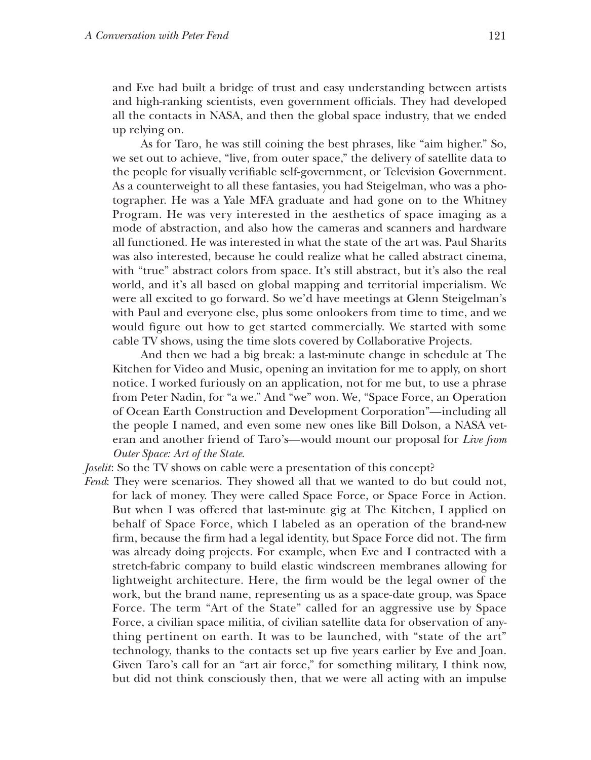and Eve had built a bridge of trust and easy understanding between artists and high-ranking scientists, even government officials. They had developed all the contacts in NASA, and then the global space industry, that we ended up relying on.

As for Taro, he was still coining the best phrases, like "aim higher." So, we set out to achieve, "live, from outer space," the delivery of satellite data to the people for visually verifiable self-government, or Television Government. As a counterweight to all these fantasies, you had Steigelman, who was a photographer. He was a Yale MFA graduate and had gone on to the Whitney Program. He was very interested in the aesthetics of space imaging as a mode of abstraction, and also how the cameras and scanners and hardware all functioned. He was interested in what the state of the art was. Paul Sharits was also interested, because he could realize what he called abstract cinema, with "true" abstract colors from space. It's still abstract, but it's also the real world, and it's all based on global mapping and territorial imperialism. We were all excited to go forward. So we'd have meetings at Glenn Steigelman's with Paul and everyone else, plus some onlookers from time to time, and we would figure out how to get started commercially. We started with some cable TV shows, using the time slots covered by Collaborative Projects.

And then we had a big break: a last-minute change in schedule at The Kitchen for Video and Music, opening an invitation for me to apply, on short notice. I worked furiously on an application, not for me but, to use a phrase from Peter Nadin, for "a we." And "we" won. We, "Space Force, an Operation of Ocean Earth Construction and Development Corporation"—including all the people I named, and even some new ones like Bill Dolson, a NASA veteran and another friend of Taro's—would mount our proposal for *Live from Outer Space: Art of the State*.

- *Joselit:* So the TV shows on cable were a presentation of this concept?
- *Fend*: They were scenarios. They showed all that we wanted to do but could not, for lack of money. They were called Space Force, or Space Force in Action. But when I was offered that last-minute gig at The Kitchen, I applied on behalf of Space Force, which I labeled as an operation of the brand-new firm, because the firm had a legal identity, but Space Force did not. The firm was already doing projects. For example, when Eve and I contracted with a stretch-fabric company to build elastic windscreen membranes allowing for lightweight architecture. Here, the firm would be the legal owner of the work, but the brand name, representing us as a space-date group, was Space Force. The term "Art of the State" called for an aggressive use by Space Force, a civilian space militia, of civilian satellite data for observation of anything pertinent on earth. It was to be launched, with "state of the art" technology, thanks to the contacts set up five years earlier by Eve and Joan. Given Taro's call for an "art air force," for something military, I think now, but did not think consciously then, that we were all acting with an impulse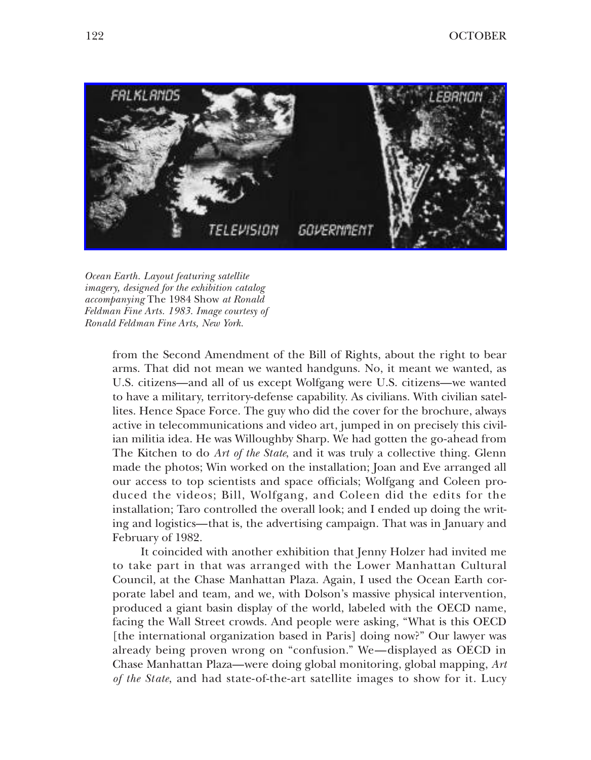

*Ocean Earth. Layout featuring satellite imagery, designed for the exhibition catalog accompanying* The 1984 Show *at Ronald Feldman Fine Arts. 1983. Image courtesy of Ronald Feldman Fine Arts, New York.*

from the Second Amendment of the Bill of Rights, about the right to bear arms. That did not mean we wanted handguns. No, it meant we wanted, as U.S. citizens—and all of us except Wolfgang were U.S. citizens—we wanted to have a military, territory-defense capability. As civilians. With civilian satellites. Hence Space Force. The guy who did the cover for the brochure, always active in telecommunications and video art, jumped in on precisely this civilian militia idea. He was Willoughby Sharp. We had gotten the go-ahead from The Kitchen to do *Art of the State*, and it was truly a collective thing. Glenn made the photos; Win worked on the installation; Joan and Eve arranged all our access to top scientists and space officials; Wolfgang and Coleen produced the videos; Bill, Wolfgang, and Coleen did the edits for the installation; Taro controlled the overall look; and I ended up doing the writing and logistics—that is, the advertising campaign. That was in January and February of 1982.

It coincided with another exhibition that Jenny Holzer had invited me to take part in that was arranged with the Lower Manhattan Cultural Council, at the Chase Manhattan Plaza. Again, I used the Ocean Earth corporate label and team, and we, with Dolson's massive physical intervention, produced a giant basin display of the world, labeled with the OECD name, facing the Wall Street crowds. And people were asking, "What is this OECD [the international organization based in Paris] doing now?" Our lawyer was already being proven wrong on "confusion." We—displayed as OECD in Chase Manhattan Plaza—were doing global monitoring, global mapping, *Art of the State*, and had state-of-the-art satellite images to show for it. Lucy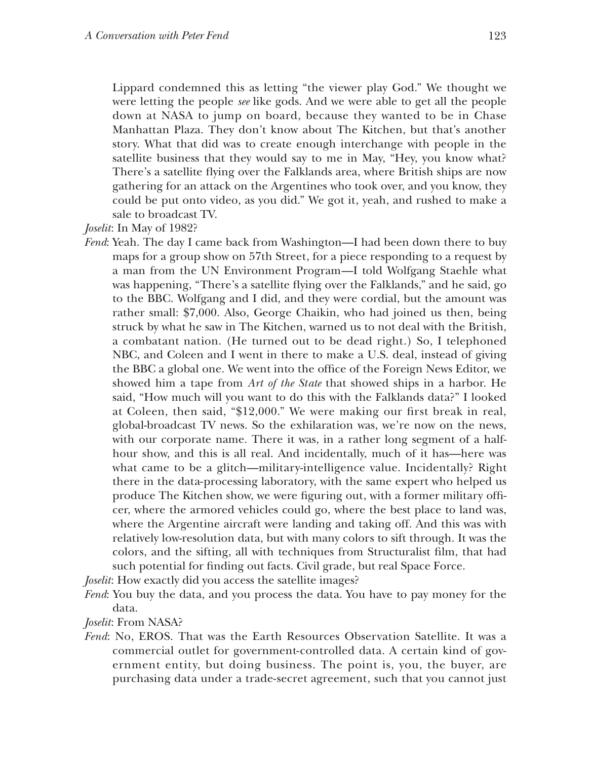Lippard condemned this as letting "the viewer play God." We thought we were letting the people *see* like gods. And we were able to get all the people down at NASA to jump on board, because they wanted to be in Chase Manhattan Plaza. They don't know about The Kitchen, but that's another story. What that did was to create enough interchange with people in the satellite business that they would say to me in May, "Hey, you know what? There's a satellite flying over the Falklands area, where British ships are now gathering for an attack on the Argentines who took over, and you know, they could be put onto video, as you did." We got it, yeah, and rushed to make a sale to broadcast TV.

*Joselit*: In May of 1982?

*Fend*: Yeah. The day I came back from Washington—I had been down there to buy maps for a group show on 57th Street, for a piece responding to a request by a man from the UN Environment Program—I told Wolfgang Staehle what was happening, "There's a satellite flying over the Falklands," and he said, go to the BBC. Wolfgang and I did, and they were cordial, but the amount was rather small: \$7,000. Also, George Chaikin, who had joined us then, being struck by what he saw in The Kitchen, warned us to not deal with the British, a combatant nation. (He turned out to be dead right.) So, I telephoned NBC, and Coleen and I went in there to make a U.S. deal, instead of giving the BBC a global one. We went into the office of the Foreign News Editor, we showed him a tape from *Art of the State* that showed ships in a harbor. He said, "How much will you want to do this with the Falklands data?" I looked at Coleen, then said, "\$12,000." We were making our first break in real, global-broadcast TV news. So the exhilaration was, we're now on the news, with our corporate name. There it was, in a rather long segment of a halfhour show, and this is all real. And incidentally, much of it has—here was what came to be a glitch—military-intelligence value. Incidentally? Right there in the data-processing laboratory, with the same expert who helped us produce The Kitchen show, we were figuring out, with a former military officer, where the armored vehicles could go, where the best place to land was, where the Argentine aircraft were landing and taking off. And this was with relatively low-resolution data, but with many colors to sift through. It was the colors, and the sifting, all with techniques from Structuralist film, that had such potential for finding out facts. Civil grade, but real Space Force.

*Joselit*: How exactly did you access the satellite images?

*Fend*: You buy the data, and you process the data. You have to pay money for the data.

*Joselit*: From NASA?

*Fend*: No, EROS. That was the Earth Resources Observation Satellite. It was a commercial outlet for government-controlled data. A certain kind of government entity, but doing business. The point is, you, the buyer, are purchasing data under a trade-secret agreement, such that you cannot just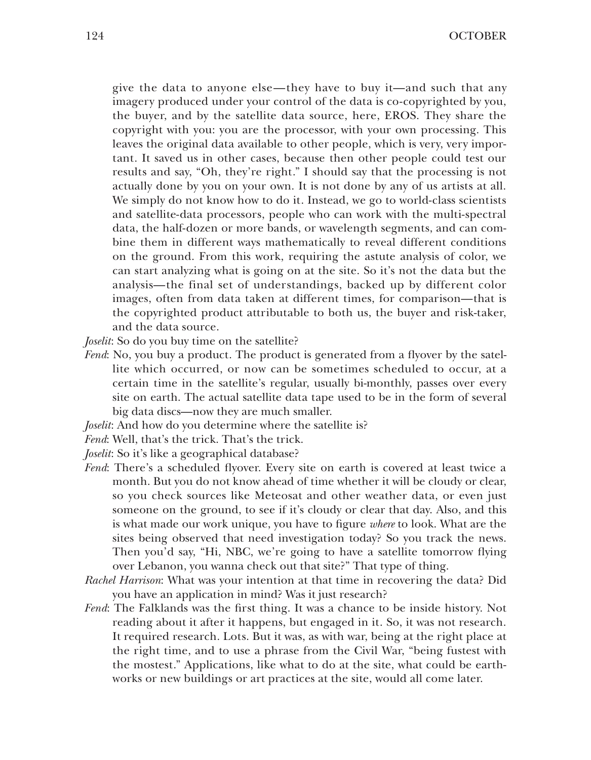give the data to anyone else—they have to buy it—and such that any imagery produced under your control of the data is co-copyrighted by you, the buyer, and by the satellite data source, here, EROS. They share the copyright with you: you are the processor, with your own processing. This leaves the original data available to other people, which is very, very important. It saved us in other cases, because then other people could test our results and say, "Oh, they're right." I should say that the processing is not actually done by you on your own. It is not done by any of us artists at all. We simply do not know how to do it. Instead, we go to world-class scientists and satellite-data processors, people who can work with the multi-spectral data, the half-dozen or more bands, or wavelength segments, and can combine them in different ways mathematically to reveal different conditions on the ground. From this work, requiring the astute analysis of color, we can start analyzing what is going on at the site. So it's not the data but the analysis—the final set of understandings, backed up by different color images, often from data taken at different times, for comparison—that is the copyrighted product attributable to both us, the buyer and risk-taker, and the data source.

*Joselit*: So do you buy time on the satellite?

*Fend*: No, you buy a product. The product is generated from a flyover by the satellite which occurred, or now can be sometimes scheduled to occur, at a certain time in the satellite's regular, usually bi-monthly, passes over every site on earth. The actual satellite data tape used to be in the form of several big data discs—now they are much smaller.

*Joselit*: And how do you determine where the satellite is?

*Fend*: Well, that's the trick. That's the trick.

*Joselit*: So it's like a geographical database?

- *Fend*: There's a scheduled flyover. Every site on earth is covered at least twice a month. But you do not know ahead of time whether it will be cloudy or clear, so you check sources like Meteosat and other weather data, or even just someone on the ground, to see if it's cloudy or clear that day. Also, and this is what made our work unique, you have to figure *where* to look. What are the sites being observed that need investigation today? So you track the news. Then you'd say, "Hi, NBC, we're going to have a satellite tomorrow flying over Lebanon, you wanna check out that site?" That type of thing.
- *Rachel Harrison*: What was your intention at that time in recovering the data? Did you have an application in mind? Was it just research?
- *Fend*: The Falklands was the first thing. It was a chance to be inside history. Not reading about it after it happens, but engaged in it. So, it was not research. It required research. Lots. But it was, as with war, being at the right place at the right time, and to use a phrase from the Civil War, "being fustest with the mostest." Applications, like what to do at the site, what could be earthworks or new buildings or art practices at the site, would all come later.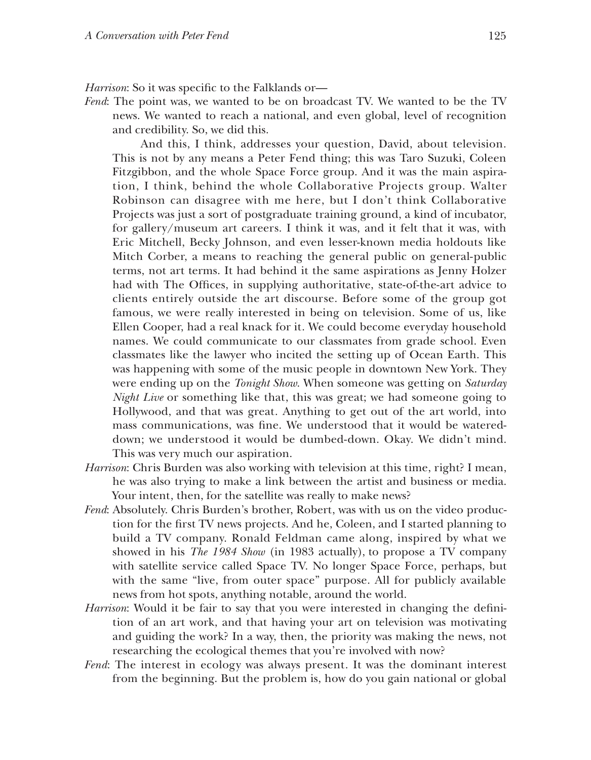*Harrison*: So it was specific to the Falklands or—

*Fend*: The point was, we wanted to be on broadcast TV. We wanted to be the TV news. We wanted to reach a national, and even global, level of recognition and credibility. So, we did this.

And this, I think, addresses your question, David, about television. This is not by any means a Peter Fend thing; this was Taro Suzuki, Coleen Fitzgibbon, and the whole Space Force group. And it was the main aspiration, I think, behind the whole Collaborative Projects group. Walter Robinson can disagree with me here, but I don't think Collaborative Projects was just a sort of postgraduate training ground, a kind of incubator, for gallery/museum art careers. I think it was, and it felt that it was, with Eric Mitchell, Becky Johnson, and even lesser-known media holdouts like Mitch Corber, a means to reaching the general public on general-public terms, not art terms. It had behind it the same aspirations as Jenny Holzer had with The Offices, in supplying authoritative, state-of-the-art advice to clients entirely outside the art discourse. Before some of the group got famous, we were really interested in being on television. Some of us, like Ellen Cooper, had a real knack for it. We could become everyday household names. We could communicate to our classmates from grade school. Even classmates like the lawyer who incited the setting up of Ocean Earth. This was happening with some of the music people in downtown New York. They were ending up on the *Tonight Show*. When someone was getting on *Saturday Night Live* or something like that, this was great; we had someone going to Hollywood, and that was great. Anything to get out of the art world, into mass communications, was fine. We understood that it would be watereddown; we understood it would be dumbed-down. Okay. We didn't mind. This was very much our aspiration.

- *Harrison*: Chris Burden was also working with television at this time, right? I mean, he was also trying to make a link between the artist and business or media. Your intent, then, for the satellite was really to make news?
- *Fend*: Absolutely. Chris Burden's brother, Robert, was with us on the video production for the first TV news projects. And he, Coleen, and I started planning to build a TV company. Ronald Feldman came along, inspired by what we showed in his *The 1984 Show* (in 1983 actually), to propose a TV company with satellite service called Space TV. No longer Space Force, perhaps, but with the same "live, from outer space" purpose. All for publicly available news from hot spots, anything notable, around the world.
- *Harrison*: Would it be fair to say that you were interested in changing the definition of an art work, and that having your art on television was motivating and guiding the work? In a way, then, the priority was making the news, not researching the ecological themes that you're involved with now?
- *Fend*: The interest in ecology was always present. It was the dominant interest from the beginning. But the problem is, how do you gain national or global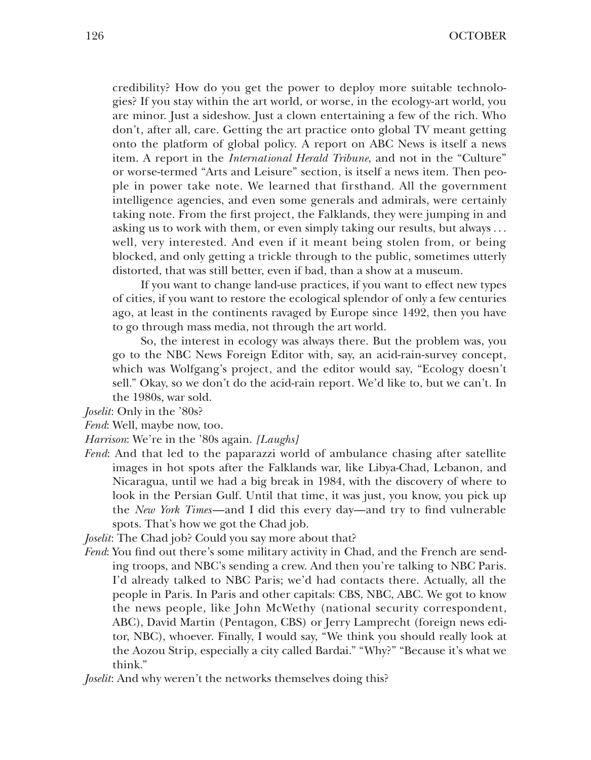credibility? How do you get the power to deploy more suitable technologies? If you stay within the art world, or worse, in the ecology-art world, you are minor. Just a sideshow. Just a clown entertaining a few of the rich. Who don't, after all, care. Getting the art practice onto global TV meant getting onto the platform of global policy. A report on ABC News is itself a news item. A report in the *International Herald Tribune*, and not in the "Culture" or worse-termed "Arts and Leisure" section, is itself a news item. Then people in power take note. We learned that firsthand. All the government intelligence agencies, and even some generals and admirals, were certainly taking note. From the first project, the Falklands, they were jumping in and asking us to work with them, or even simply taking our results, but always . . . well, very interested. And even if it meant being stolen from, or being blocked, and only getting a trickle through to the public, sometimes utterly distorted, that was still better, even if bad, than a show at a museum.

If you want to change land-use practices, if you want to effect new types of cities, if you want to restore the ecological splendor of only a few centuries ago, at least in the continents ravaged by Europe since 1492, then you have to go through mass media, not through the art world.

So, the interest in ecology was always there. But the problem was, you go to the NBC News Foreign Editor with, say, an acid-rain-survey concept, which was Wolfgang's project, and the editor would say, "Ecology doesn't sell." Okay, so we don't do the acid-rain report. We'd like to, but we can't. In the 1980s, war sold.

*Joselit:* Only in the '80s?

*Fend*: Well, maybe now, too.

*Harrison*: We're in the '80s again. *[Laughs]*

*Fend*: And that led to the paparazzi world of ambulance chasing after satellite images in hot spots after the Falklands war, like Libya-Chad, Lebanon, and Nicaragua, until we had a big break in 1984, with the discovery of where to look in the Persian Gulf. Until that time, it was just, you know, you pick up the *New York Times*—and I did this every day—and try to find vulnerable spots. That's how we got the Chad job.

*Joselit:* The Chad job? Could you say more about that?

*Fend*: You find out there's some military activity in Chad, and the French are sending troops, and NBC's sending a crew. And then you're talking to NBC Paris. I'd already talked to NBC Paris; we'd had contacts there. Actually, all the people in Paris. In Paris and other capitals: CBS, NBC, ABC. We got to know the news people, like John McWethy (national security correspondent, ABC), David Martin (Pentagon, CBS) or Jerry Lamprecht (foreign news editor, NBC), whoever. Finally, I would say, "We think you should really look at the Aozou Strip, especially a city called Bardai." "Why?" "Because it's what we think."

*Joselit*: And why weren't the networks themselves doing this?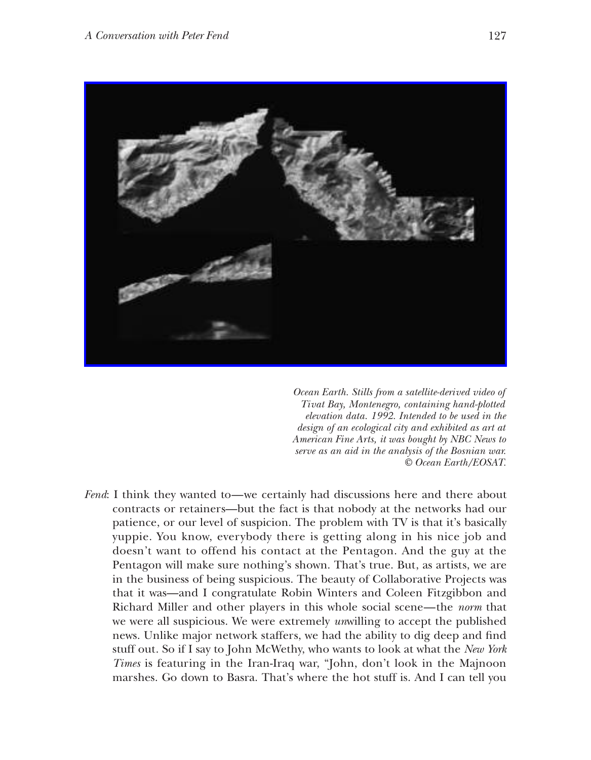

*Ocean Earth. Stills from a satellite-derived video of Tivat Bay, Montenegro, containing hand-plotted elevation data. 1992. Intended to be used in the design of an ecological city and exhibited as art at American Fine Arts, it was bought by NBC News to serve as an aid in the analysis of the Bosnian war. © Ocean Earth/EOSAT.*

*Fend*: I think they wanted to—we certainly had discussions here and there about contracts or retainers—but the fact is that nobody at the networks had our patience, or our level of suspicion. The problem with TV is that it's basically yuppie. You know, everybody there is getting along in his nice job and doesn't want to offend his contact at the Pentagon. And the guy at the Pentagon will make sure nothing's shown. That's true. But, as artists, we are in the business of being suspicious. The beauty of Collaborative Projects was that it was—and I congratulate Robin Winters and Coleen Fitzgibbon and Richard Miller and other players in this whole social scene—the *norm* that we were all suspicious. We were extremely *un*willing to accept the published news. Unlike major network staffers, we had the ability to dig deep and find stuff out. So if I say to John McWethy, who wants to look at what the *New York Times* is featuring in the Iran-Iraq war, "John, don't look in the Majnoon marshes. Go down to Basra. That's where the hot stuff is. And I can tell you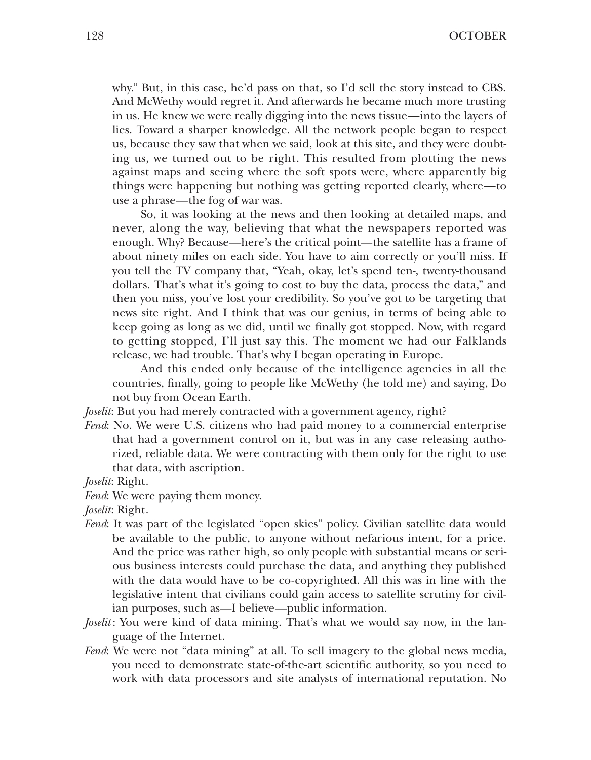why." But, in this case, he'd pass on that, so I'd sell the story instead to CBS. And McWethy would regret it. And afterwards he became much more trusting in us. He knew we were really digging into the news tissue—into the layers of lies. Toward a sharper knowledge. All the network people began to respect us, because they saw that when we said, look at this site, and they were doubting us, we turned out to be right. This resulted from plotting the news against maps and seeing where the soft spots were, where apparently big things were happening but nothing was getting reported clearly, where—to use a phrase—the fog of war was.

So, it was looking at the news and then looking at detailed maps, and never, along the way, believing that what the newspapers reported was enough. Why? Because—here's the critical point—the satellite has a frame of about ninety miles on each side. You have to aim correctly or you'll miss. If you tell the TV company that, "Yeah, okay, let's spend ten-, twenty-thousand dollars. That's what it's going to cost to buy the data, process the data," and then you miss, you've lost your credibility. So you've got to be targeting that news site right. And I think that was our genius, in terms of being able to keep going as long as we did, until we finally got stopped. Now, with regard to getting stopped, I'll just say this. The moment we had our Falklands release, we had trouble. That's why I began operating in Europe.

And this ended only because of the intelligence agencies in all the countries, finally, going to people like McWethy (he told me) and saying, Do not buy from Ocean Earth.

*Joselit*: But you had merely contracted with a government agency, right?

*Fend*: No. We were U.S. citizens who had paid money to a commercial enterprise that had a government control on it, but was in any case releasing authorized, reliable data. We were contracting with them only for the right to use that data, with ascription.

*Joselit*: Right.

*Fend*: We were paying them money.

*Joselit*: Right.

- *Fend*: It was part of the legislated "open skies" policy. Civilian satellite data would be available to the public, to anyone without nefarious intent, for a price. And the price was rather high, so only people with substantial means or serious business interests could purchase the data, and anything they published with the data would have to be co-copyrighted. All this was in line with the legislative intent that civilians could gain access to satellite scrutiny for civilian purposes, such as—I believe—public information.
- *Joselit* : You were kind of data mining. That's what we would say now, in the language of the Internet.
- *Fend*: We were not "data mining" at all. To sell imagery to the global news media, you need to demonstrate state-of-the-art scientific authority, so you need to work with data processors and site analysts of international reputation. No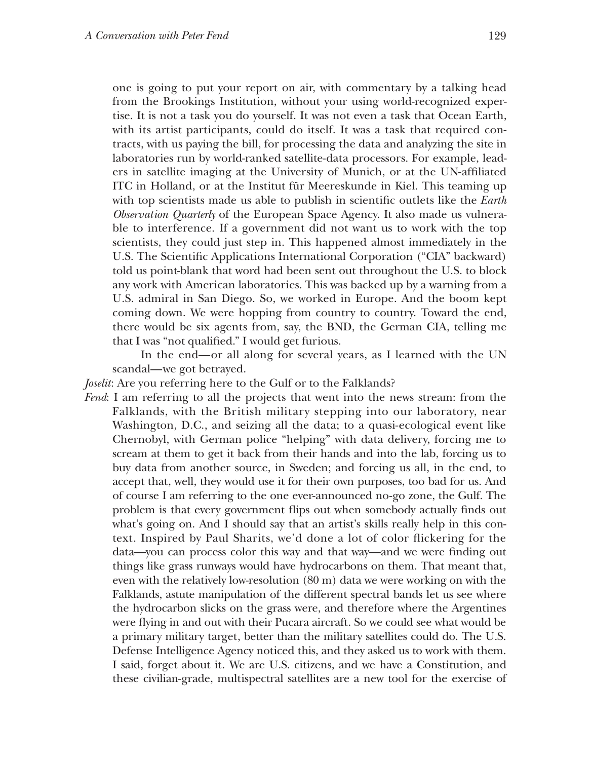one is going to put your report on air, with commentary by a talking head from the Brookings Institution, without your using world-recognized expertise. It is not a task you do yourself. It was not even a task that Ocean Earth, with its artist participants, could do itself. It was a task that required contracts, with us paying the bill, for processing the data and analyzing the site in laboratories run by world-ranked satellite-data processors. For example, leaders in satellite imaging at the University of Munich, or at the UN-affiliated ITC in Holland, or at the Institut für Meereskunde in Kiel. This teaming up with top scientists made us able to publish in scientific outlets like the *Earth Observation Quarterly* of the European Space Agency. It also made us vulnerable to interference. If a government did not want us to work with the top scientists, they could just step in. This happened almost immediately in the U.S. The Scientific Applications International Corporation ("CIA" backward) told us point-blank that word had been sent out throughout the U.S. to block any work with American laboratories. This was backed up by a warning from a U.S. admiral in San Diego. So, we worked in Europe. And the boom kept coming down. We were hopping from country to country. Toward the end, there would be six agents from, say, the BND, the German CIA, telling me that I was "not qualified." I would get furious.

In the end—or all along for several years, as I learned with the UN scandal—we got betrayed.

*Joselit:* Are you referring here to the Gulf or to the Falklands?

*Fend*: I am referring to all the projects that went into the news stream: from the Falklands, with the British military stepping into our laboratory, near Washington, D.C., and seizing all the data; to a quasi-ecological event like Chernobyl, with German police "helping" with data delivery, forcing me to scream at them to get it back from their hands and into the lab, forcing us to buy data from another source, in Sweden; and forcing us all, in the end, to accept that, well, they would use it for their own purposes, too bad for us. And of course I am referring to the one ever-announced no-go zone, the Gulf. The problem is that every government flips out when somebody actually finds out what's going on. And I should say that an artist's skills really help in this context. Inspired by Paul Sharits, we'd done a lot of color flickering for the data—you can process color this way and that way—and we were finding out things like grass runways would have hydrocarbons on them. That meant that, even with the relatively low-resolution (80 m) data we were working on with the Falklands, astute manipulation of the different spectral bands let us see where the hydrocarbon slicks on the grass were, and therefore where the Argentines were flying in and out with their Pucara aircraft. So we could see what would be a primary military target, better than the military satellites could do. The U.S. Defense Intelligence Agency noticed this, and they asked us to work with them. I said, forget about it. We are U.S. citizens, and we have a Constitution, and these civilian-grade, multispectral satellites are a new tool for the exercise of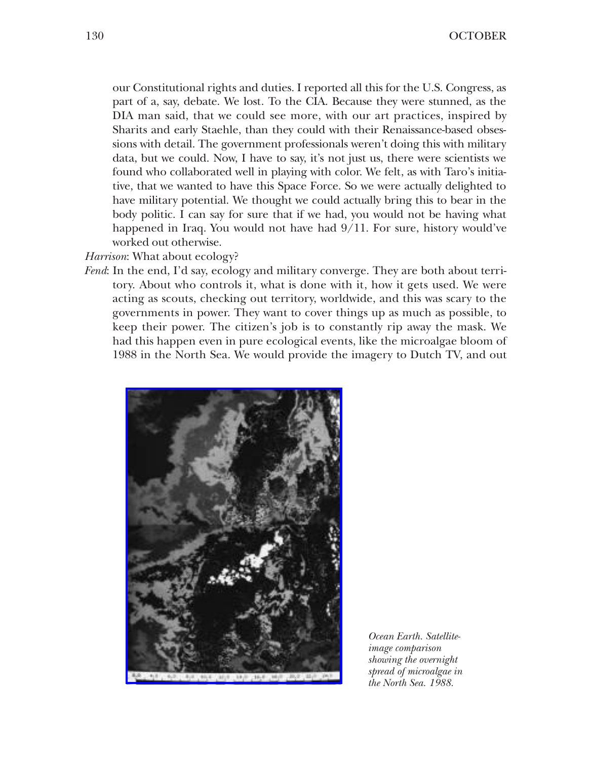our Constitutional rights and duties. I reported all this for the U.S. Congress, as part of a, say, debate. We lost. To the CIA. Because they were stunned, as the DIA man said, that we could see more, with our art practices, inspired by Sharits and early Staehle, than they could with their Renaissance-based obsessions with detail. The government professionals weren't doing this with military data, but we could. Now, I have to say, it's not just us, there were scientists we found who collaborated well in playing with color. We felt, as with Taro's initiative, that we wanted to have this Space Force. So we were actually delighted to have military potential. We thought we could actually bring this to bear in the body politic. I can say for sure that if we had, you would not be having what happened in Iraq. You would not have had 9/11. For sure, history would've worked out otherwise.

## *Harrison*: What about ecology?

*Fend*: In the end, I'd say, ecology and military converge. They are both about territory. About who controls it, what is done with it, how it gets used. We were acting as scouts, checking out territory, worldwide, and this was scary to the governments in power. They want to cover things up as much as possible, to keep their power. The citizen's job is to constantly rip away the mask. We had this happen even in pure ecological events, like the microalgae bloom of 1988 in the North Sea. We would provide the imagery to Dutch TV, and out



*Ocean Earth. Satelliteimage comparison showing the overnight spread of microalgae in the North Sea. 1988.*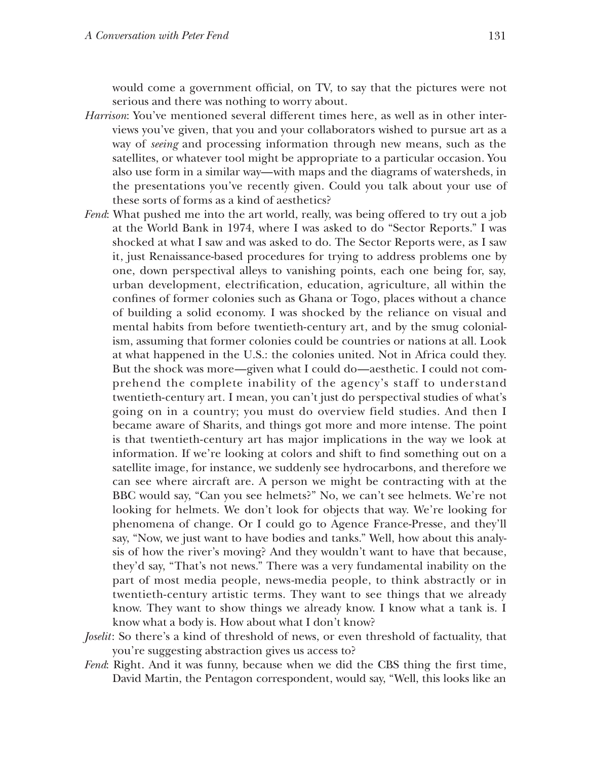would come a government official, on TV, to say that the pictures were not serious and there was nothing to worry about.

- *Harrison*: You've mentioned several different times here, as well as in other interviews you've given, that you and your collaborators wished to pursue art as a way of *seeing* and processing information through new means, such as the satellites, or whatever tool might be appropriate to a particular occasion. You also use form in a similar way—with maps and the diagrams of watersheds, in the presentations you've recently given. Could you talk about your use of these sorts of forms as a kind of aesthetics?
- *Fend*: What pushed me into the art world, really, was being offered to try out a job at the World Bank in 1974, where I was asked to do "Sector Reports." I was shocked at what I saw and was asked to do. The Sector Reports were, as I saw it, just Renaissance-based procedures for trying to address problems one by one, down perspectival alleys to vanishing points, each one being for, say, urban development, electrification, education, agriculture, all within the confines of former colonies such as Ghana or Togo, places without a chance of building a solid economy. I was shocked by the reliance on visual and mental habits from before twentieth-century art, and by the smug colonialism, assuming that former colonies could be countries or nations at all. Look at what happened in the U.S.: the colonies united. Not in Africa could they. But the shock was more—given what I could do—aesthetic. I could not comprehend the complete inability of the agency's staff to understand twentieth-century art. I mean, you can't just do perspectival studies of what's going on in a country; you must do overview field studies. And then I became aware of Sharits, and things got more and more intense. The point is that twentieth-century art has major implications in the way we look at information. If we're looking at colors and shift to find something out on a satellite image, for instance, we suddenly see hydrocarbons, and therefore we can see where aircraft are. A person we might be contracting with at the BBC would say, "Can you see helmets?" No, we can't see helmets. We're not looking for helmets. We don't look for objects that way. We're looking for phenomena of change. Or I could go to Agence France-Presse, and they'll say, "Now, we just want to have bodies and tanks." Well, how about this analysis of how the river's moving? And they wouldn't want to have that because, they'd say, "That's not news." There was a very fundamental inability on the part of most media people, news-media people, to think abstractly or in twentieth-century artistic terms. They want to see things that we already know. They want to show things we already know. I know what a tank is. I know what a body is. How about what I don't know?
- *Joselit*: So there's a kind of threshold of news, or even threshold of factuality, that you're suggesting abstraction gives us access to?
- *Fend*: Right. And it was funny, because when we did the CBS thing the first time, David Martin, the Pentagon correspondent, would say, "Well, this looks like an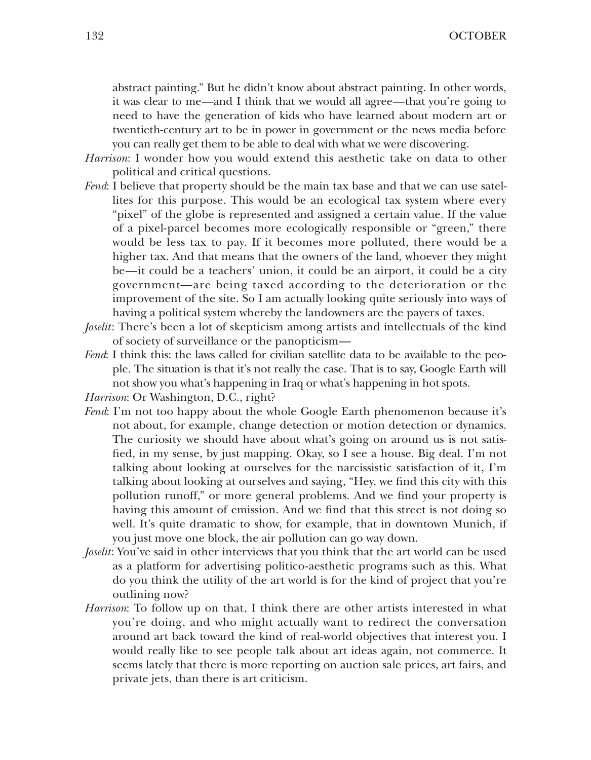abstract painting." But he didn't know about abstract painting. In other words, it was clear to me—and I think that we would all agree—that you're going to need to have the generation of kids who have learned about modern art or twentieth-century art to be in power in government or the news media before you can really get them to be able to deal with what we were discovering.

- *Harrison*: I wonder how you would extend this aesthetic take on data to other political and critical questions.
- *Fend*: I believe that property should be the main tax base and that we can use satellites for this purpose. This would be an ecological tax system where every "pixel" of the globe is represented and assigned a certain value. If the value of a pixel-parcel becomes more ecologically responsible or "green," there would be less tax to pay. If it becomes more polluted, there would be a higher tax. And that means that the owners of the land, whoever they might be—it could be a teachers' union, it could be an airport, it could be a city government—are being taxed according to the deterioration or the improvement of the site. So I am actually looking quite seriously into ways of having a political system whereby the landowners are the payers of taxes.
- *Joselit*: There's been a lot of skepticism among artists and intellectuals of the kind of society of surveillance or the panopticism—
- *Fend*: I think this: the laws called for civilian satellite data to be available to the people. The situation is that it's not really the case. That is to say, Google Earth will not show you what's happening in Iraq or what's happening in hot spots.
- *Harrison*: Or Washington, D.C., right?
- *Fend*: I'm not too happy about the whole Google Earth phenomenon because it's not about, for example, change detection or motion detection or dynamics. The curiosity we should have about what's going on around us is not satisfied, in my sense, by just mapping. Okay, so I see a house. Big deal. I'm not talking about looking at ourselves for the narcissistic satisfaction of it, I'm talking about looking at ourselves and saying, "Hey, we find this city with this pollution runoff," or more general problems. And we find your property is having this amount of emission. And we find that this street is not doing so well. It's quite dramatic to show, for example, that in downtown Munich, if you just move one block, the air pollution can go way down.
- *Joselit*: You've said in other interviews that you think that the art world can be used as a platform for advertising politico-aesthetic programs such as this. What do you think the utility of the art world is for the kind of project that you're outlining now?
- *Harrison*: To follow up on that, I think there are other artists interested in what you're doing, and who might actually want to redirect the conversation around art back toward the kind of real-world objectives that interest you. I would really like to see people talk about art ideas again, not commerce. It seems lately that there is more reporting on auction sale prices, art fairs, and private jets, than there is art criticism.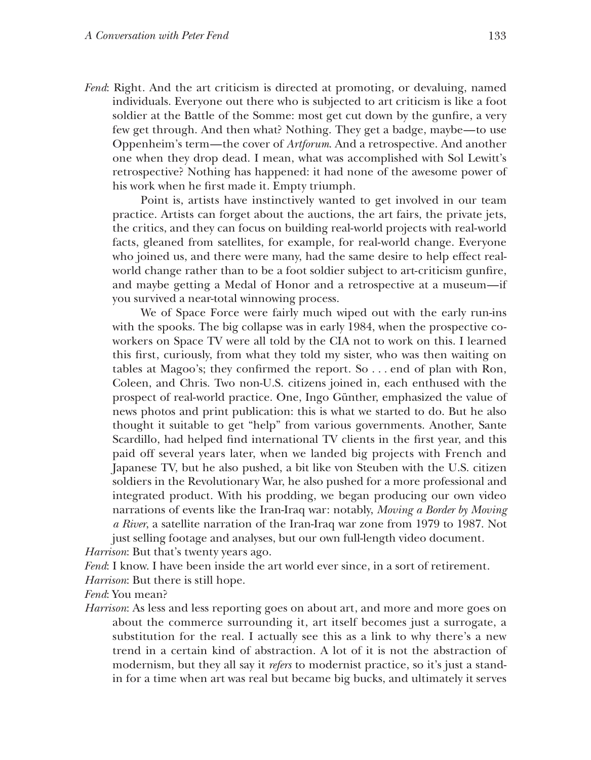*Fend*: Right. And the art criticism is directed at promoting, or devaluing, named individuals. Everyone out there who is subjected to art criticism is like a foot soldier at the Battle of the Somme: most get cut down by the gunfire, a very few get through. And then what? Nothing. They get a badge, maybe—to use Oppenheim's term—the cover of *Artforum*. And a retrospective. And another one when they drop dead. I mean, what was accomplished with Sol Lewitt's retrospective? Nothing has happened: it had none of the awesome power of his work when he first made it. Empty triumph.

Point is, artists have instinctively wanted to get involved in our team practice. Artists can forget about the auctions, the art fairs, the private jets, the critics, and they can focus on building real-world projects with real-world facts, gleaned from satellites, for example, for real-world change. Everyone who joined us, and there were many, had the same desire to help effect realworld change rather than to be a foot soldier subject to art-criticism gunfire, and maybe getting a Medal of Honor and a retrospective at a museum—if you survived a near-total winnowing process.

We of Space Force were fairly much wiped out with the early run-ins with the spooks. The big collapse was in early 1984, when the prospective coworkers on Space TV were all told by the CIA not to work on this. I learned this first, curiously, from what they told my sister, who was then waiting on tables at Magoo's; they confirmed the report. So . . . end of plan with Ron, Coleen, and Chris. Two non-U.S. citizens joined in, each enthused with the prospect of real-world practice. One, Ingo Günther, emphasized the value of news photos and print publication: this is what we started to do. But he also thought it suitable to get "help" from various governments. Another, Sante Scardillo, had helped find international TV clients in the first year, and this paid off several years later, when we landed big projects with French and Japanese TV, but he also pushed, a bit like von Steuben with the U.S. citizen soldiers in the Revolutionary War, he also pushed for a more professional and integrated product. With his prodding, we began producing our own video narrations of events like the Iran-Iraq war: notably, *Moving a Border by Moving a River*, a satellite narration of the Iran-Iraq war zone from 1979 to 1987. Not just selling footage and analyses, but our own full-length video document.

*Harrison*: But that's twenty years ago.

*Fend*: I know. I have been inside the art world ever since, in a sort of retirement.

*Harrison*: But there is still hope.

*Fend*: You mean?

*Harrison*: As less and less reporting goes on about art, and more and more goes on about the commerce surrounding it, art itself becomes just a surrogate, a substitution for the real. I actually see this as a link to why there's a new trend in a certain kind of abstraction. A lot of it is not the abstraction of modernism, but they all say it *refers* to modernist practice, so it's just a standin for a time when art was real but became big bucks, and ultimately it serves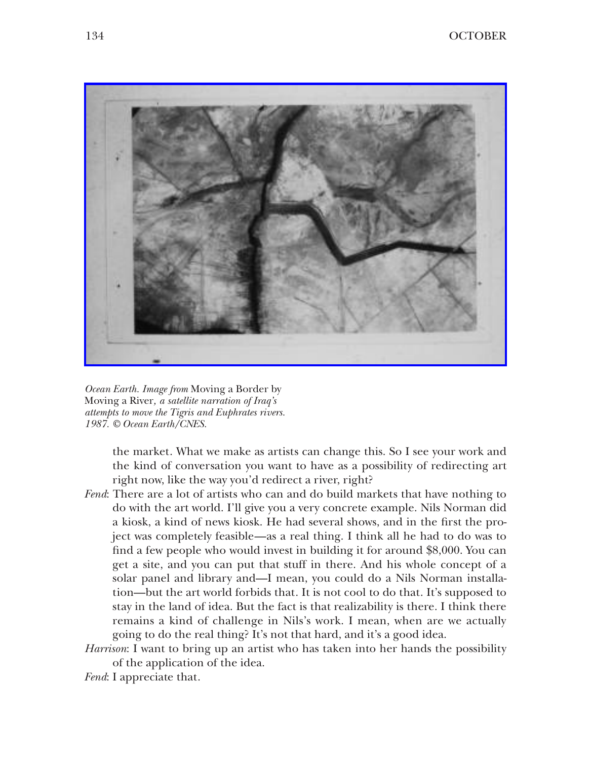

*Ocean Earth. Image from* Moving a Border by Moving a River*, a satellite narration of Iraq's attempts to move the Tigris and Euphrates rivers. 1987. © Ocean Earth/CNES.*

the market. What we make as artists can change this. So I see your work and the kind of conversation you want to have as a possibility of redirecting art right now, like the way you'd redirect a river, right?

- *Fend*: There are a lot of artists who can and do build markets that have nothing to do with the art world. I'll give you a very concrete example. Nils Norman did a kiosk, a kind of news kiosk. He had several shows, and in the first the project was completely feasible—as a real thing. I think all he had to do was to find a few people who would invest in building it for around \$8,000. You can get a site, and you can put that stuff in there. And his whole concept of a solar panel and library and—I mean, you could do a Nils Norman installation—but the art world forbids that. It is not cool to do that. It's supposed to stay in the land of idea. But the fact is that realizability is there. I think there remains a kind of challenge in Nils's work. I mean, when are we actually going to do the real thing? It's not that hard, and it's a good idea.
- *Harrison*: I want to bring up an artist who has taken into her hands the possibility of the application of the idea.
- *Fend*: I appreciate that.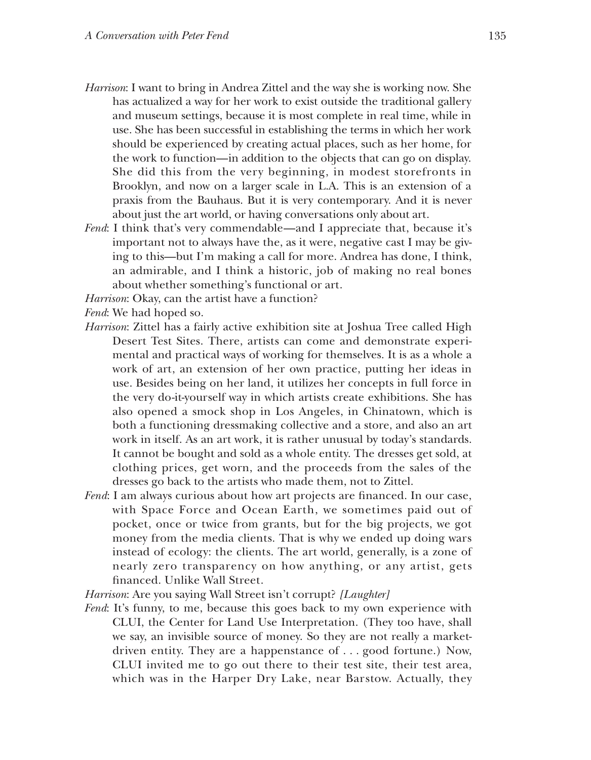- *Harrison*: I want to bring in Andrea Zittel and the way she is working now. She has actualized a way for her work to exist outside the traditional gallery and museum settings, because it is most complete in real time, while in use. She has been successful in establishing the terms in which her work should be experienced by creating actual places, such as her home, for the work to function—in addition to the objects that can go on display. She did this from the very beginning, in modest storefronts in Brooklyn, and now on a larger scale in L.A. This is an extension of a praxis from the Bauhaus. But it is very contemporary. And it is never about just the art world, or having conversations only about art.
- *Fend*: I think that's very commendable—and I appreciate that, because it's important not to always have the, as it were, negative cast I may be giving to this—but I'm making a call for more. Andrea has done, I think, an admirable, and I think a historic, job of making no real bones about whether something's functional or art.

*Harrison*: Okay, can the artist have a function?

*Fend*: We had hoped so.

- *Harrison*: Zittel has a fairly active exhibition site at Joshua Tree called High Desert Test Sites. There, artists can come and demonstrate experimental and practical ways of working for themselves. It is as a whole a work of art, an extension of her own practice, putting her ideas in use. Besides being on her land, it utilizes her concepts in full force in the very do-it-yourself way in which artists create exhibitions. She has also opened a smock shop in Los Angeles, in Chinatown, which is both a functioning dressmaking collective and a store, and also an art work in itself. As an art work, it is rather unusual by today's standards. It cannot be bought and sold as a whole entity. The dresses get sold, at clothing prices, get worn, and the proceeds from the sales of the dresses go back to the artists who made them, not to Zittel.
- *Fend*: I am always curious about how art projects are financed. In our case, with Space Force and Ocean Earth, we sometimes paid out of pocket, once or twice from grants, but for the big projects, we got money from the media clients. That is why we ended up doing wars instead of ecology: the clients. The art world, generally, is a zone of nearly zero transparency on how anything, or any artist, gets financed. Unlike Wall Street.

*Harrison*: Are you saying Wall Street isn't corrupt? *[Laughter]*

*Fend*: It's funny, to me, because this goes back to my own experience with CLUI, the Center for Land Use Interpretation. (They too have, shall we say, an invisible source of money. So they are not really a marketdriven entity. They are a happenstance of . . . good fortune.) Now, CLUI invited me to go out there to their test site, their test area, which was in the Harper Dry Lake, near Barstow. Actually, they